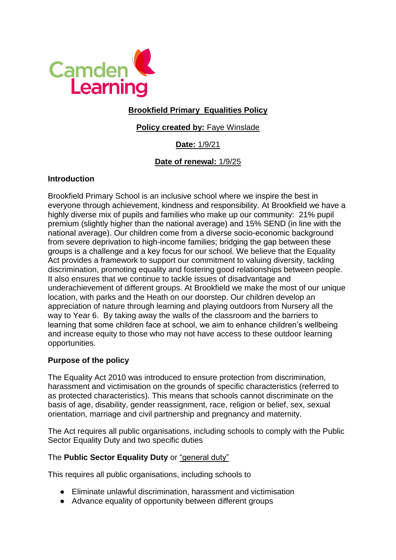

## **Brookfield Primary Equalities Policy**

## **Policy created by: Faye Winslade**

# **Date:** 1/9/21

### **Date of renewal:** 1/9/25

#### **Introduction**

Brookfield Primary School is an inclusive school where we inspire the best in everyone through achievement, kindness and responsibility. At Brookfield we have a highly diverse mix of pupils and families who make up our community: 21% pupil premium (slightly higher than the national average) and 15% SEND (in line with the national average). Our children come from a diverse socio-economic background from severe deprivation to high-income families; bridging the gap between these groups is a challenge and a key focus for our school. We believe that the Equality Act provides a framework to support our commitment to valuing diversity, tackling discrimination, promoting equality and fostering good relationships between people. It also ensures that we continue to tackle issues of disadvantage and underachievement of different groups. At Brookfield we make the most of our unique location, with parks and the Heath on our doorstep. Our children develop an appreciation of nature through learning and playing outdoors from Nursery all the way to Year 6. By taking away the walls of the classroom and the barriers to learning that some children face at school, we aim to enhance children's wellbeing and increase equity to those who may not have access to these outdoor learning opportunities.

### **Purpose of the policy**

The Equality Act 2010 was introduced to ensure protection from discrimination, harassment and victimisation on the grounds of specific characteristics (referred to as protected characteristics). This means that schools cannot discriminate on the basis of age, disability, gender reassignment, race, religion or belief, sex, sexual orientation, marriage and civil partnership and pregnancy and maternity.

The Act requires all public organisations, including schools to comply with the Public Sector Equality Duty and two specific duties

#### The **Public Sector Equality Duty** or "general duty"

This requires all public organisations, including schools to

- Eliminate unlawful discrimination, harassment and victimisation
- Advance equality of opportunity between different groups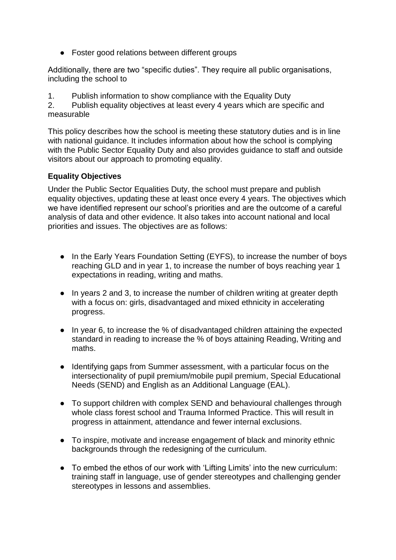● Foster good relations between different groups

Additionally, there are two "specific duties". They require all public organisations, including the school to

1. Publish information to show compliance with the Equality Duty

2. Publish equality objectives at least every 4 years which are specific and measurable

This policy describes how the school is meeting these statutory duties and is in line with national guidance. It includes information about how the school is complying with the Public Sector Equality Duty and also provides guidance to staff and outside visitors about our approach to promoting equality.

### **Equality Objectives**

Under the Public Sector Equalities Duty, the school must prepare and publish equality objectives, updating these at least once every 4 years. The objectives which we have identified represent our school's priorities and are the outcome of a careful analysis of data and other evidence. It also takes into account national and local priorities and issues. The objectives are as follows:

- In the Early Years Foundation Setting (EYFS), to increase the number of boys reaching GLD and in year 1, to increase the number of boys reaching year 1 expectations in reading, writing and maths.
- In years 2 and 3, to increase the number of children writing at greater depth with a focus on: girls, disadvantaged and mixed ethnicity in accelerating progress.
- In year 6, to increase the % of disadvantaged children attaining the expected standard in reading to increase the % of boys attaining Reading, Writing and maths.
- Identifying gaps from Summer assessment, with a particular focus on the intersectionality of pupil premium/mobile pupil premium, Special Educational Needs (SEND) and English as an Additional Language (EAL).
- To support children with complex SEND and behavioural challenges through whole class forest school and Trauma Informed Practice. This will result in progress in attainment, attendance and fewer internal exclusions.
- To inspire, motivate and increase engagement of black and minority ethnic backgrounds through the redesigning of the curriculum.
- To embed the ethos of our work with 'Lifting Limits' into the new curriculum: training staff in language, use of gender stereotypes and challenging gender stereotypes in lessons and assemblies.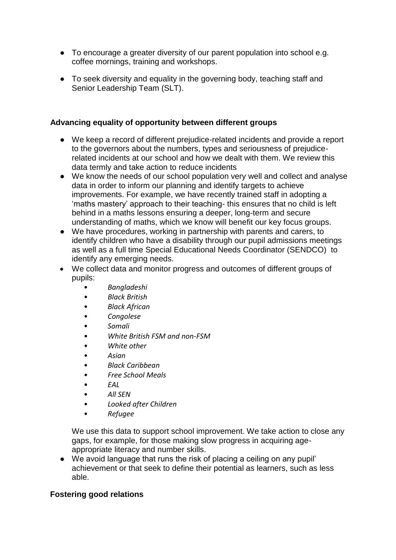- To encourage a greater diversity of our parent population into school e.g. coffee mornings, training and workshops.
- To seek diversity and equality in the governing body, teaching staff and Senior Leadership Team (SLT).

#### **Advancing equality of opportunity between different groups**

- We keep a record of different prejudice-related incidents and provide a report to the governors about the numbers, types and seriousness of prejudicerelated incidents at our school and how we dealt with them. We review this data termly and take action to reduce incidents
- We know the needs of our school population very well and collect and analyse data in order to inform our planning and identify targets to achieve improvements. For example, we have recently trained staff in adopting a 'maths mastery' approach to their teaching- this ensures that no child is left behind in a maths lessons ensuring a deeper, long-term and secure understanding of maths, which we know will benefit our key focus groups.
- We have procedures, working in partnership with parents and carers, to identify children who have a disability through our pupil admissions meetings as well as a full time Special Educational Needs Coordinator (SENDCO) to identify any emerging needs.
- We collect data and monitor progress and outcomes of different groups of pupils:
	- *Bangladeshi*
	- *Black British*
	- *Black African*
	- *Congolese*
	- *Somali*
	- *White British FSM and non-FSM*
	- *White other*
	- *Asian*
	- *Black Caribbean*
	- *Free School Meals*
	- *EAL*
	- *All SEN*
	- *Looked after Children*
	- *Refugee*

We use this data to support school improvement. We take action to close any gaps, for example, for those making slow progress in acquiring ageappropriate literacy and number skills.

● We avoid language that runs the risk of placing a ceiling on any pupil' achievement or that seek to define their potential as learners, such as less able.

### **Fostering good relations**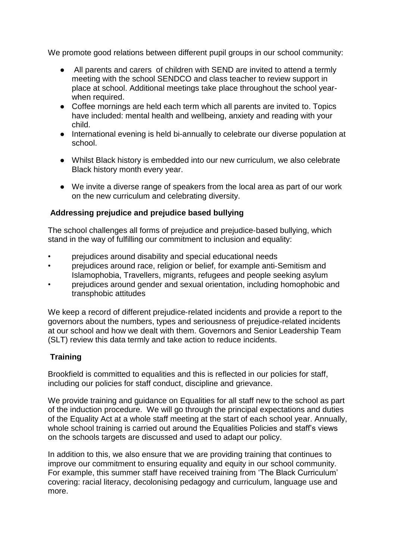We promote good relations between different pupil groups in our school community:

- All parents and carers of children with SEND are invited to attend a termly meeting with the school SENDCO and class teacher to review support in place at school. Additional meetings take place throughout the school yearwhen required.
- Coffee mornings are held each term which all parents are invited to. Topics have included: mental health and wellbeing, anxiety and reading with your child.
- International evening is held bi-annually to celebrate our diverse population at school.
- Whilst Black history is embedded into our new curriculum, we also celebrate Black history month every year.
- We invite a diverse range of speakers from the local area as part of our work on the new curriculum and celebrating diversity.

### **Addressing prejudice and prejudice based bullying**

The school challenges all forms of prejudice and prejudice‐based bullying, which stand in the way of fulfilling our commitment to inclusion and equality:

- prejudices around disability and special educational needs
- prejudices around race, religion or belief, for example anti‐Semitism and Islamophobia, Travellers, migrants, refugees and people seeking asylum
- prejudices around gender and sexual orientation, including homophobic and transphobic attitudes

We keep a record of different prejudice-related incidents and provide a report to the governors about the numbers, types and seriousness of prejudice‐related incidents at our school and how we dealt with them. Governors and Senior Leadership Team (SLT) review this data termly and take action to reduce incidents.

### **Training**

Brookfield is committed to equalities and this is reflected in our policies for staff, including our policies for staff conduct, discipline and grievance.

We provide training and guidance on Equalities for all staff new to the school as part of the induction procedure. We will go through the principal expectations and duties of the Equality Act at a whole staff meeting at the start of each school year. Annually, whole school training is carried out around the Equalities Policies and staff's views on the schools targets are discussed and used to adapt our policy.

In addition to this, we also ensure that we are providing training that continues to improve our commitment to ensuring equality and equity in our school community. For example, this summer staff have received training from 'The Black Curriculum' covering: racial literacy, decolonising pedagogy and curriculum, language use and more.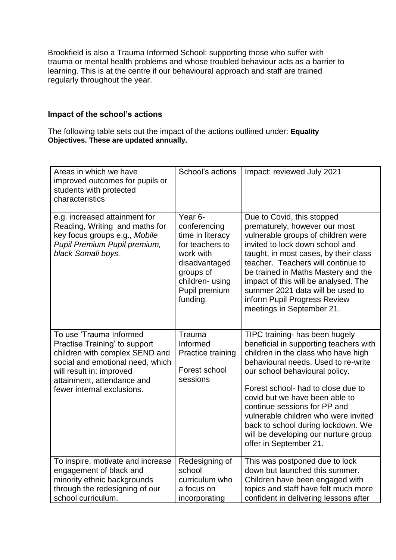Brookfield is also a Trauma Informed School: supporting those who suffer with trauma or mental health problems and whose troubled behaviour acts as a barrier to learning. This is at the centre if our behavioural approach and staff are trained regularly throughout the year.

#### **Impact of the school's actions**

The following table sets out the impact of the actions outlined under: **Equality Objectives. These are updated annually.** 

| Areas in which we have<br>improved outcomes for pupils or<br>students with protected<br>characteristics                                                                                                                | School's actions                                                                                                                                                     | Impact: reviewed July 2021                                                                                                                                                                                                                                                                                                                                                                                                                       |
|------------------------------------------------------------------------------------------------------------------------------------------------------------------------------------------------------------------------|----------------------------------------------------------------------------------------------------------------------------------------------------------------------|--------------------------------------------------------------------------------------------------------------------------------------------------------------------------------------------------------------------------------------------------------------------------------------------------------------------------------------------------------------------------------------------------------------------------------------------------|
| e.g. increased attainment for<br>Reading, Writing and maths for<br>key focus groups e.g., Mobile<br>Pupil Premium Pupil premium,<br>black Somali boys.                                                                 | Year <sub>6</sub> -<br>conferencing<br>time in literacy<br>for teachers to<br>work with<br>disadvantaged<br>groups of<br>children-using<br>Pupil premium<br>funding. | Due to Covid, this stopped<br>prematurely, however our most<br>vulnerable groups of children were<br>invited to lock down school and<br>taught, in most cases, by their class<br>teacher. Teachers will continue to<br>be trained in Maths Mastery and the<br>impact of this will be analysed. The<br>summer 2021 data will be used to<br>inform Pupil Progress Review<br>meetings in September 21.                                              |
| To use 'Trauma Informed<br>Practise Training' to support<br>children with complex SEND and<br>social and emotional need, which<br>will result in: improved<br>attainment, attendance and<br>fewer internal exclusions. | Trauma<br>Informed<br>Practice training<br>Forest school<br>sessions                                                                                                 | TIPC training- has been hugely<br>beneficial in supporting teachers with<br>children in the class who have high<br>behavioural needs. Used to re-write<br>our school behavioural policy.<br>Forest school- had to close due to<br>covid but we have been able to<br>continue sessions for PP and<br>vulnerable children who were invited<br>back to school during lockdown. We<br>will be developing our nurture group<br>offer in September 21. |
| To inspire, motivate and increase<br>engagement of black and<br>minority ethnic backgrounds<br>through the redesigning of our<br>school curriculum.                                                                    | Redesigning of<br>school<br>curriculum who<br>a focus on<br>incorporating                                                                                            | This was postponed due to lock<br>down but launched this summer.<br>Children have been engaged with<br>topics and staff have felt much more<br>confident in delivering lessons after                                                                                                                                                                                                                                                             |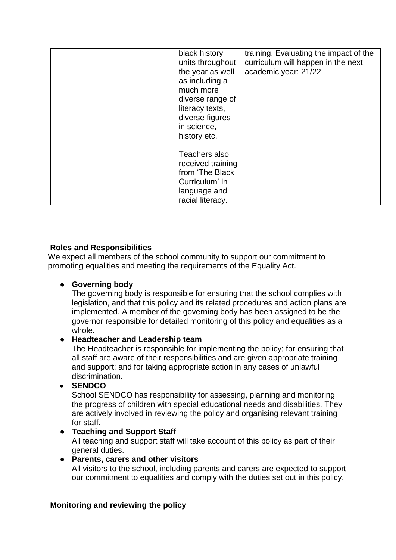| black history<br>units throughout<br>the year as well<br>as including a<br>much more<br>diverse range of<br>literacy texts,<br>diverse figures<br>in science,<br>history etc. | training. Evaluating the impact of the<br>curriculum will happen in the next<br>academic year: 21/22 |
|-------------------------------------------------------------------------------------------------------------------------------------------------------------------------------|------------------------------------------------------------------------------------------------------|
| Teachers also<br>received training<br>from 'The Black<br>Curriculum' in<br>language and<br>racial literacy.                                                                   |                                                                                                      |

# **Roles and Responsibilities**

We expect all members of the school community to support our commitment to promoting equalities and meeting the requirements of the Equality Act.

# ● **Governing body**

The governing body is responsible for ensuring that the school complies with legislation, and that this policy and its related procedures and action plans are implemented. A member of the governing body has been assigned to be the governor responsible for detailed monitoring of this policy and equalities as a whole.

### ● **Headteacher and Leadership team**

The Headteacher is responsible for implementing the policy; for ensuring that all staff are aware of their responsibilities and are given appropriate training and support; and for taking appropriate action in any cases of unlawful discrimination.

### **SENDCO**

School SENDCO has responsibility for assessing, planning and monitoring the progress of children with special educational needs and disabilities. They are actively involved in reviewing the policy and organising relevant training for staff.

### ● **Teaching and Support Staff**

All teaching and support staff will take account of this policy as part of their general duties.

### ● **Parents, carers and other visitors**

All visitors to the school, including parents and carers are expected to support our commitment to equalities and comply with the duties set out in this policy.

### **Monitoring and reviewing the policy**